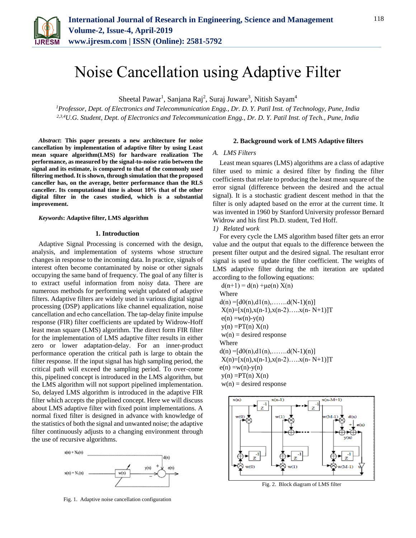

# Noise Cancellation using Adaptive Filter

Sheetal Pawar<sup>1</sup>, Sanjana Raj<sup>2</sup>, Suraj Juware<sup>3</sup>, Nitish Sayam<sup>4</sup>

*<sup>1</sup>Professor, Dept. of Electronics and Telecommunication Engg., Dr. D. Y. Patil Inst. of Technology, Pune, India 2,3,4U.G. Student, Dept. of Electronics and Telecommunication Engg., Dr. D. Y. Patil Inst. of Tech., Pune, India*

*Abstract***: This paper presents a new architecture for noise cancellation by implementation of adaptive filter by using Least mean square algorithm(LMS) for hardware realization The performance, as measured by the signal-to-noise ratio between the signal and its estimate, is compared to that of the commonly used filtering method. It is shown, through simulation that the proposed canceller has, on the average, better performance than the RLS canceller. Its computational time is about 10% that of the other digital filter in the cases studied, which is a substantial improvement.**

#### *Keywords***: Adaptive filter, LMS algorithm**

### **1. Introduction**

Adaptive Signal Processing is concerned with the design, analysis, and implementation of systems whose structure changes in response to the incoming data. In practice, signals of interest often become contaminated by noise or other signals occupying the same band of frequency. The goal of any filter is to extract useful information from noisy data. There are numerous methods for performing weight updated of adaptive filters. Adaptive filters are widely used in various digital signal processing (DSP) applications like channel equalization, noise cancellation and echo cancellation. The tap-delay finite impulse response (FIR) filter coefficients are updated by Widrow-Hoff least mean square (LMS) algorithm. The direct form FIR filter for the implementation of LMS adaptive filter results in either zero or lower adaptation-delay. For an inner-product performance operation the critical path is large to obtain the filter response. If the input signal has high sampling period, the critical path will exceed the sampling period. To over-come this, pipelined concept is introduced in the LMS algorithm, but the LMS algorithm will not support pipelined implementation. So, delayed LMS algorithm is introduced in the adaptive FIR filter which accepts the pipelined concept. Here we will discuss about LMS adaptive filter with fixed point implementations. A normal fixed filter is designed in advance with knowledge of the statistics of both the signal and unwanted noise; the adaptive filter continuously adjusts to a changing environment through the use of recursive algorithms.



Fig. 1. Adaptive noise cancellation configuration

## **2. Background work of LMS Adaptive filters**

## *A. LMS Filters*

Least mean squares (LMS) algorithms are a class of adaptive filter used to mimic a desired filter by finding the filter coefficients that relate to producing the least mean square of the error signal (difference between the desired and the actual signal). It is a stochastic gradient descent method in that the filter is only adapted based on the error at the current time. It was invented in 1960 by Stanford University professor Bernard Widrow and his first Ph.D. student, Ted Hoff.

*1) Related work*

For every cycle the LMS algorithm based filter gets an error value and the output that equals to the difference between the present filter output and the desired signal. The resultant error signal is used to update the filter coefficient. The weights of LMS adaptive filter during the nth iteration are updated according to the following equations:

 $d(n+1) = d(n) + \mu e(n) X(n)$ Where  $d(n) = [d0(n), d1(n), \ldots, d(N-1)(n)]$  $X(n)=[x(n),x(n-1),x(n-2)$ ….. $x(n-N+1)]T$  $e(n) = w(n)-y(n)$  $y(n) = PT(n) X(n)$  $w(n)$  = desired response Where  $d(n) = [d0(n), d1(n), \ldots, d(N-1)(n)]$  $X(n)=[x(n),x(n-1),x(n-2)$ ….. $x(n-N+1)]T$  $e(n) = w(n)-y(n)$  $y(n) = PT(n) X(n)$  $w(n)$  = desired response



Fig. 2. Block diagram of LMS filter